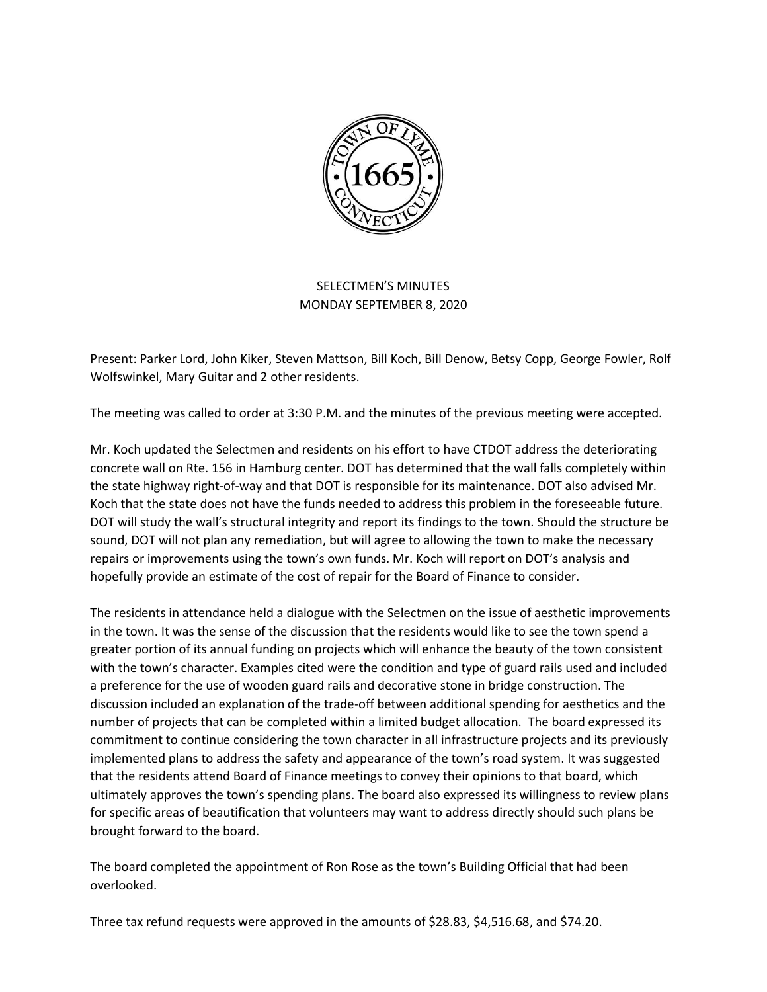

## SELECTMEN'S MINUTES MONDAY SEPTEMBER 8, 2020

Present: Parker Lord, John Kiker, Steven Mattson, Bill Koch, Bill Denow, Betsy Copp, George Fowler, Rolf Wolfswinkel, Mary Guitar and 2 other residents.

The meeting was called to order at 3:30 P.M. and the minutes of the previous meeting were accepted.

Mr. Koch updated the Selectmen and residents on his effort to have CTDOT address the deteriorating concrete wall on Rte. 156 in Hamburg center. DOT has determined that the wall falls completely within the state highway right-of-way and that DOT is responsible for its maintenance. DOT also advised Mr. Koch that the state does not have the funds needed to address this problem in the foreseeable future. DOT will study the wall's structural integrity and report its findings to the town. Should the structure be sound, DOT will not plan any remediation, but will agree to allowing the town to make the necessary repairs or improvements using the town's own funds. Mr. Koch will report on DOT's analysis and hopefully provide an estimate of the cost of repair for the Board of Finance to consider.

The residents in attendance held a dialogue with the Selectmen on the issue of aesthetic improvements in the town. It was the sense of the discussion that the residents would like to see the town spend a greater portion of its annual funding on projects which will enhance the beauty of the town consistent with the town's character. Examples cited were the condition and type of guard rails used and included a preference for the use of wooden guard rails and decorative stone in bridge construction. The discussion included an explanation of the trade-off between additional spending for aesthetics and the number of projects that can be completed within a limited budget allocation. The board expressed its commitment to continue considering the town character in all infrastructure projects and its previously implemented plans to address the safety and appearance of the town's road system. It was suggested that the residents attend Board of Finance meetings to convey their opinions to that board, which ultimately approves the town's spending plans. The board also expressed its willingness to review plans for specific areas of beautification that volunteers may want to address directly should such plans be brought forward to the board.

The board completed the appointment of Ron Rose as the town's Building Official that had been overlooked.

Three tax refund requests were approved in the amounts of \$28.83, \$4,516.68, and \$74.20.